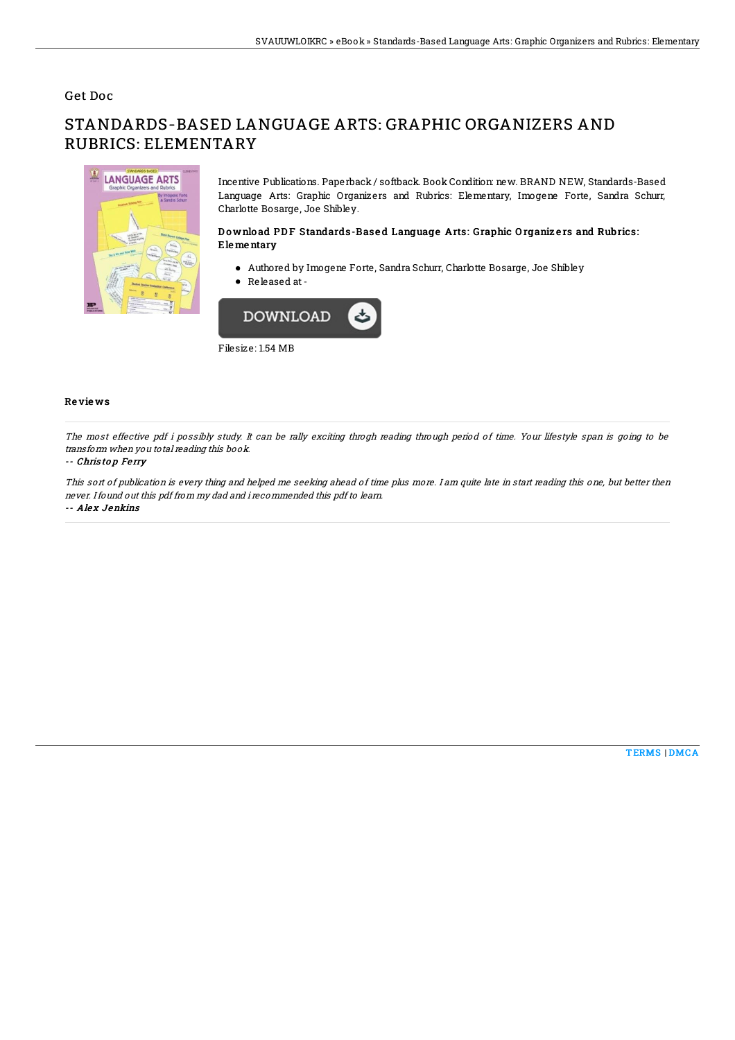## Get Doc

# STANDARDS-BASED LANGUAGE ARTS: GRAPHIC ORGANIZERS AND RUBRICS: ELEMENTARY



Incentive Publications. Paperback / softback. Book Condition: new. BRAND NEW, Standards-Based Language Arts: Graphic Organizers and Rubrics: Elementary, Imogene Forte, Sandra Schurr, Charlotte Bosarge, Joe Shibley.

### Download PDF Standards-Based Language Arts: Graphic Organizers and Rubrics: Ele me ntary

- Authored by Imogene Forte, Sandra Schurr, Charlotte Bosarge, Joe Shibley
- Released at-



Filesize: 1.54 MB

#### Re vie ws

The most effective pdf i possibly study. It can be rally exciting throgh reading through period of time. Your lifestyle span is going to be transform when you total reading this book.

#### -- Chris to p Fe rry

This sort of publication is every thing and helped me seeking ahead of time plus more. I am quite late in start reading this one, but better then never. Ifound out this pdf from my dad and i recommended this pdf to learn. -- Alex Jenkins